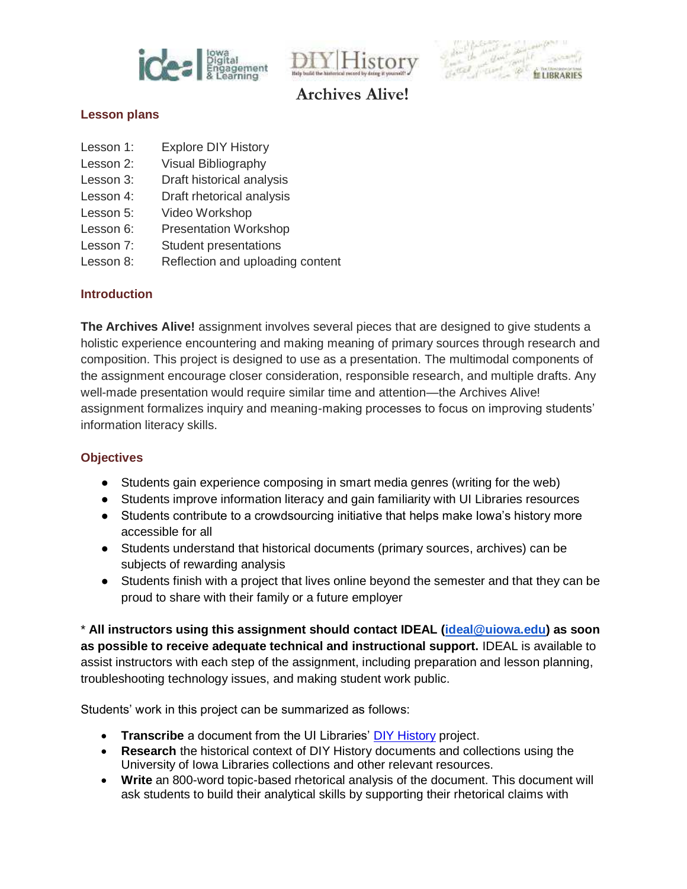





#### **Lesson plans**

- Lesson 1: Explore DIY History
- Lesson 2: Visual Bibliography
- Lesson 3: Draft historical analysis
- Lesson 4: Draft rhetorical analysis
- Lesson 5: Video Workshop
- Lesson 6: Presentation Workshop
- Lesson 7: Student presentations
- Lesson 8: Reflection and uploading content

## **Introduction**

**The Archives Alive!** assignment involves several pieces that are designed to give students a holistic experience encountering and making meaning of primary sources through research and composition. This project is designed to use as a presentation. The multimodal components of the assignment encourage closer consideration, responsible research, and multiple drafts. Any well-made presentation would require similar time and attention—the Archives Alive! assignment formalizes inquiry and meaning-making processes to focus on improving students' information literacy skills.

## **Objectives**

- Students gain experience composing in smart media genres (writing for the web)
- Students improve information literacy and gain familiarity with UI Libraries resources
- Students contribute to a crowdsourcing initiative that helps make Iowa's history more accessible for all
- Students understand that historical documents (primary sources, archives) can be subjects of rewarding analysis
- Students finish with a project that lives online beyond the semester and that they can be proud to share with their family or a future employer

\* **All instructors using this assignment should contact IDEAL [\(ideal@uiowa.edu\)](mailto:ideal@uiowa.edu) as soon as possible to receive adequate technical and instructional support.** IDEAL is available to assist instructors with each step of the assignment, including preparation and lesson planning, troubleshooting technology issues, and making student work public.

Students' work in this project can be summarized as follows:

- **Transcribe** a document from the UI Libraries' [DIY History](http://diyhistory.lib.uiowa.edu/) project.
- **Research** the historical context of DIY History documents and collections using the University of Iowa Libraries collections and other relevant resources.
- **Write** an 800-word topic-based rhetorical analysis of the document. This document will ask students to build their analytical skills by supporting their rhetorical claims with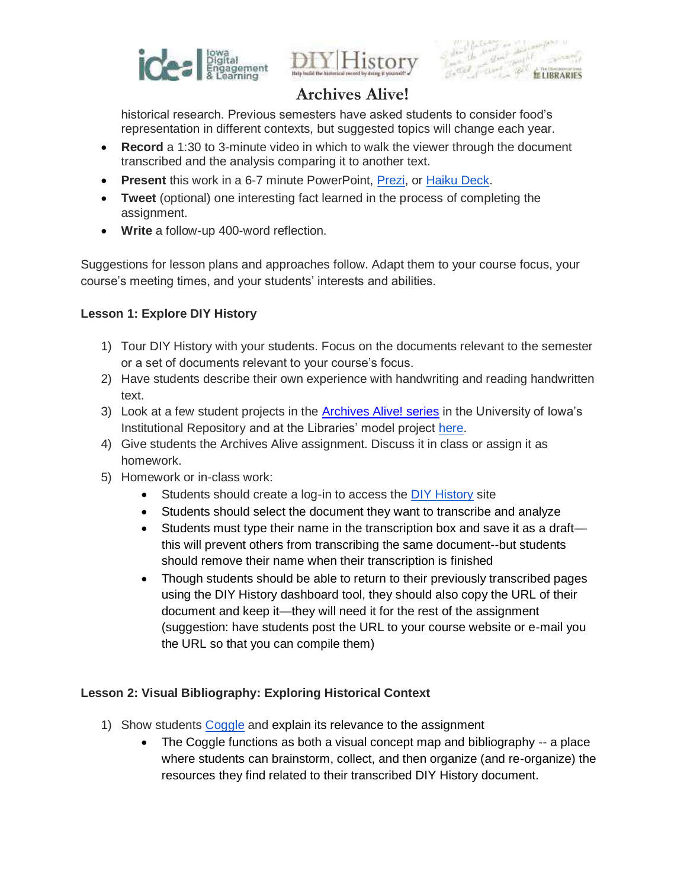





historical research. Previous semesters have asked students to consider food's representation in different contexts, but suggested topics will change each year.

- **Record** a 1:30 to 3-minute video in which to walk the viewer through the document transcribed and the analysis comparing it to another text.
- **Present** this work in a 6-7 minute PowerPoint[, Prezi,](https://prezi.com/) o[r Haiku Deck.](https://www.haikudeck.com/)
- **Tweet** (optional) one interesting fact learned in the process of completing the assignment.
- **Write** a follow-up 400-word reflection.

Suggestions for lesson plans and approaches follow. Adapt them to your course focus, your course's meeting times, and your students' interests and abilities.

## **Lesson 1: Explore DIY History**

- 1) Tour DIY History with your students. Focus on the documents relevant to the semester or a set of documents relevant to your course's focus.
- 2) Have students describe their own experience with handwriting and reading handwritten text.
- 3) Look at a few student projects in the [Archives Alive! series](http://ir.uiowa.edu/ideal_archivesalive/) in the University of Iowa's Institutional Repository and at the Libraries' model project [here.](http://www.kaltura.com/index.php/extwidget/preview/partner_id/1004581/uiconf_id/15920232/entry_id/0_bxo207kw/embed/legacy?)
- 4) Give students the Archives Alive assignment. Discuss it in class or assign it as homework.
- 5) Homework or in-class work:
	- Students should create a log-in to access the [DIY History](http://diyhistory.lib.uiowa.edu/) site
	- Students should select the document they want to transcribe and analyze
	- Students must type their name in the transcription box and save it as a draft this will prevent others from transcribing the same document--but students should remove their name when their transcription is finished
	- Though students should be able to return to their previously transcribed pages using the DIY History dashboard tool, they should also copy the URL of their document and keep it—they will need it for the rest of the assignment (suggestion: have students post the URL to your course website or e-mail you the URL so that you can compile them)

## **Lesson 2: Visual Bibliography: Exploring Historical Context**

- 1) Show students [Coggle](https://coggle.it/) and explain its relevance to the assignment
	- The Coggle functions as both a visual concept map and bibliography -- a place where students can brainstorm, collect, and then organize (and re-organize) the resources they find related to their transcribed DIY History document.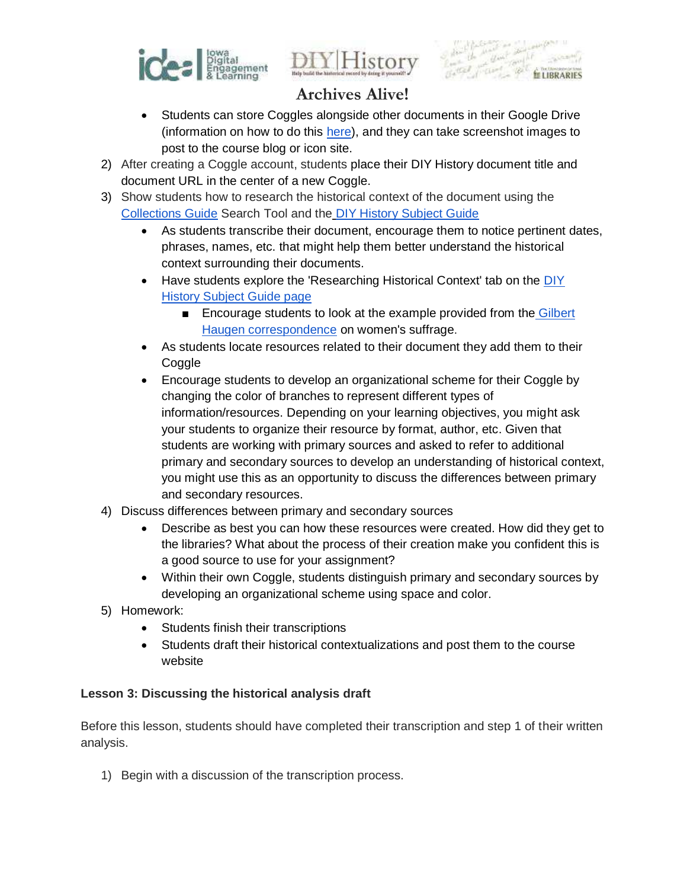





- Students can store Coggles alongside other documents in their Google Drive (information on how to do this [here\)](http://bloggle.coggle.it/coggles-in-google-drive/), and they can take screenshot images to post to the course blog or icon site.
- 2) After creating a Coggle account, students place their DIY History document title and document URL in the center of a new Coggle.
- 3) Show students how to research the historical context of the document using the [Collections Guide Search Tool](http://collguides.lib.uiowa.edu/search.php) and th[e DIY History Subject Guide](http://guides.lib.uiowa.edu/diyhistory)
	- As students transcribe their document, encourage them to notice pertinent dates, phrases, names, etc. that might help them better understand the historical context surrounding their documents.
	- Have students explore the 'Researching Historical Context' tab on the DIY [History Subject Guide page](http://guides.lib.uiowa.edu/diyhistory/historicalcontext) 
		- Encourage students to look at the example provided from the Gilbert [Haugen correspondence](http://diyhistory.lib.uiowa.edu/transcribe/2967/62576) on women's suffrage.
	- As students locate resources related to their document they add them to their **Coggle**
	- Encourage students to develop an organizational scheme for their Coggle by changing the color of branches to represent different types of information/resources. Depending on your learning objectives, you might ask your students to organize their resource by format, author, etc. Given that students are working with primary sources and asked to refer to additional primary and secondary sources to develop an understanding of historical context, you might use this as an opportunity to discuss the differences between primary and secondary resources.
- 4) Discuss differences between primary and secondary sources
	- Describe as best you can how these resources were created. How did they get to the libraries? What about the process of their creation make you confident this is a good source to use for your assignment?
	- Within their own Coggle, students distinguish primary and secondary sources by developing an organizational scheme using space and color.
- 5) Homework:
	- Students finish their transcriptions
	- Students draft their historical contextualizations and post them to the course website

## **Lesson 3: Discussing the historical analysis draft**

Before this lesson, students should have completed their transcription and step 1 of their written analysis.

1) Begin with a discussion of the transcription process.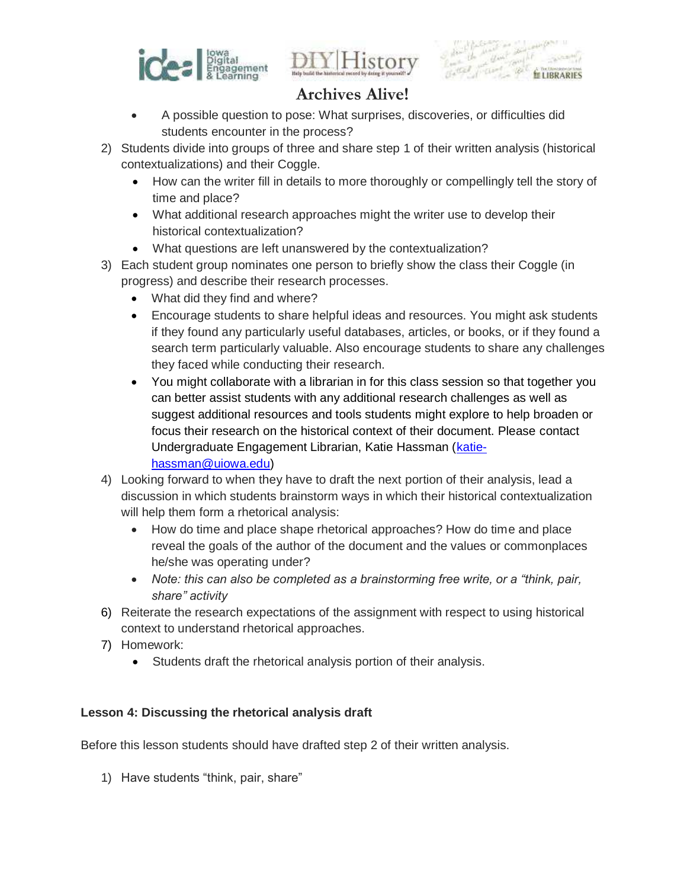





- A possible question to pose: What surprises, discoveries, or difficulties did students encounter in the process?
- 2) Students divide into groups of three and share step 1 of their written analysis (historical contextualizations) and their Coggle.
	- How can the writer fill in details to more thoroughly or compellingly tell the story of time and place?
	- What additional research approaches might the writer use to develop their historical contextualization?
	- What questions are left unanswered by the contextualization?
- 3) Each student group nominates one person to briefly show the class their Coggle (in progress) and describe their research processes.
	- What did they find and where?
	- Encourage students to share helpful ideas and resources. You might ask students if they found any particularly useful databases, articles, or books, or if they found a search term particularly valuable. Also encourage students to share any challenges they faced while conducting their research.
	- You might collaborate with a librarian in for this class session so that together you can better assist students with any additional research challenges as well as suggest additional resources and tools students might explore to help broaden or focus their research on the historical context of their document. Please contact Undergraduate Engagement Librarian, Katie Hassman [\(katie](mailto:katie-hassman@uiowa.edu)[hassman@uiowa.edu\)](mailto:katie-hassman@uiowa.edu)
- 4) Looking forward to when they have to draft the next portion of their analysis, lead a discussion in which students brainstorm ways in which their historical contextualization will help them form a rhetorical analysis:
	- How do time and place shape rhetorical approaches? How do time and place reveal the goals of the author of the document and the values or commonplaces he/she was operating under?
	- *Note: this can also be completed as a brainstorming free write, or a "think, pair, share" activity*
- 6) Reiterate the research expectations of the assignment with respect to using historical context to understand rhetorical approaches.
- 7) Homework:
	- Students draft the rhetorical analysis portion of their analysis.

## **Lesson 4: Discussing the rhetorical analysis draft**

Before this lesson students should have drafted step 2 of their written analysis.

1) Have students "think, pair, share"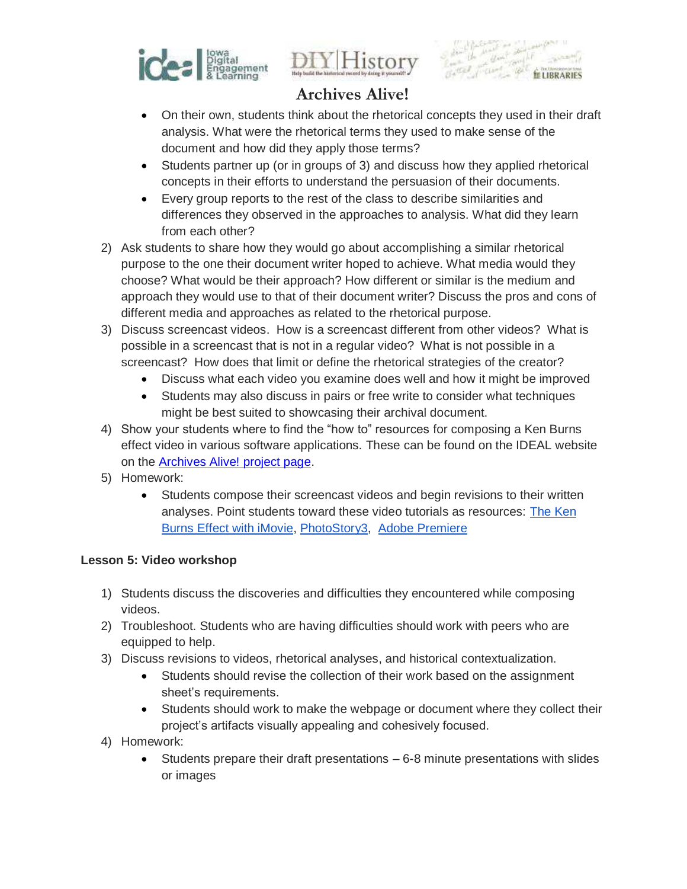



• On their own, students think about the rhetorical concepts they used in their draft analysis. What were the rhetorical terms they used to make sense of the document and how did they apply those terms?

**LELIBRARIES** 

- Students partner up (or in groups of 3) and discuss how they applied rhetorical concepts in their efforts to understand the persuasion of their documents.
- Every group reports to the rest of the class to describe similarities and differences they observed in the approaches to analysis. What did they learn from each other?
- 2) Ask students to share how they would go about accomplishing a similar rhetorical purpose to the one their document writer hoped to achieve. What media would they choose? What would be their approach? How different or similar is the medium and approach they would use to that of their document writer? Discuss the pros and cons of different media and approaches as related to the rhetorical purpose.
- 3) Discuss screencast videos. How is a screencast different from other videos? What is possible in a screencast that is not in a regular video? What is not possible in a screencast? How does that limit or define the rhetorical strategies of the creator?
	- Discuss what each video you examine does well and how it might be improved
	- Students may also discuss in pairs or free write to consider what techniques might be best suited to showcasing their archival document.
- 4) Show your students where to find the "how to" resources for composing a Ken Burns effect video in various software applications. These can be found on the IDEAL website on the [Archives Alive! project page.](http://ideal.uiowa.edu/projects/#archives-alive)
- 5) Homework:
	- Students compose their screencast videos and begin revisions to their written analyses. Point students toward these video tutorials as resources: [The Ken](https://www.youtube.com/watch?v=gxBuQ1ew-Io)  [Burns Effect with iMovie,](https://www.youtube.com/watch?v=gxBuQ1ew-Io) [PhotoStory3,](https://www.youtube.com/watch?v=w12mZsStlDU) [Adobe Premiere](https://drive.google.com/file/d/0By2PNqVBxbgQaGhPMW94MUhHZzA/edit)

## **Lesson 5: Video workshop**

- 1) Students discuss the discoveries and difficulties they encountered while composing videos.
- 2) Troubleshoot. Students who are having difficulties should work with peers who are equipped to help.
- 3) Discuss revisions to videos, rhetorical analyses, and historical contextualization.
	- Students should revise the collection of their work based on the assignment sheet's requirements.
	- Students should work to make the webpage or document where they collect their project's artifacts visually appealing and cohesively focused.
- 4) Homework:
	- Students prepare their draft presentations 6-8 minute presentations with slides or images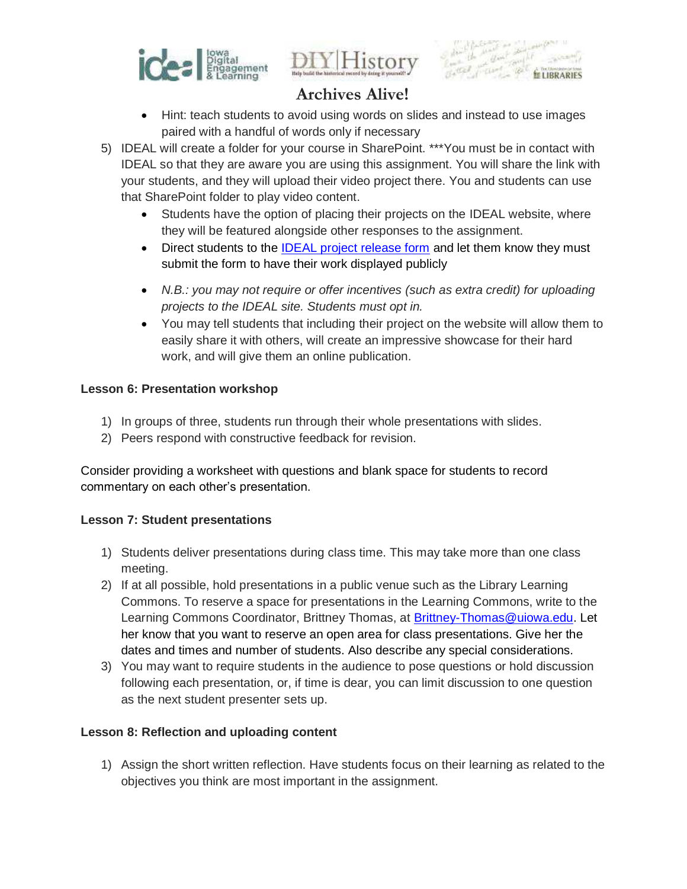





- Hint: teach students to avoid using words on slides and instead to use images paired with a handful of words only if necessary
- 5) IDEAL will create a folder for your course in SharePoint. \*\*\*You must be in contact with IDEAL so that they are aware you are using this assignment. You will share the link with your students, and they will upload their video project there. You and students can use that SharePoint folder to play video content.
	- Students have the option of placing their projects on the IDEAL website, where they will be featured alongside other responses to the assignment.
	- Direct students to the [IDEAL project release form](https://uiowa.qualtrics.com/jfe/preview/SV_3kNDLnbgLXfuinr) and let them know they must submit the form to have their work displayed publicly
	- N.B.: you may not require or offer incentives (such as extra credit) for uploading projects to the IDEAL site. Students must opt in.
	- You may tell students that including their project on the website will allow them to easily share it with others, will create an impressive showcase for their hard work, and will give them an online publication.

## **Lesson 6: Presentation workshop**

- 1) In groups of three, students run through their whole presentations with slides.
- 2) Peers respond with constructive feedback for revision.

Consider providing a worksheet with questions and blank space for students to record commentary on each other's presentation.

## **Lesson 7: Student presentations**

- 1) Students deliver presentations during class time. This may take more than one class meeting.
- 2) If at all possible, hold presentations in a public venue such as the Library Learning Commons. To reserve a space for presentations in the Learning Commons, write to the Learning Commons Coordinator, Brittney Thomas, at [Brittney-Thomas@uiowa.edu.](mailto:Brittney-Thomas@uiowa.edu) Let her know that you want to reserve an open area for class presentations. Give her the dates and times and number of students. Also describe any special considerations.
- 3) You may want to require students in the audience to pose questions or hold discussion following each presentation, or, if time is dear, you can limit discussion to one question as the next student presenter sets up.

## **Lesson 8: Reflection and uploading content**

1) Assign the short written reflection. Have students focus on their learning as related to the objectives you think are most important in the assignment.